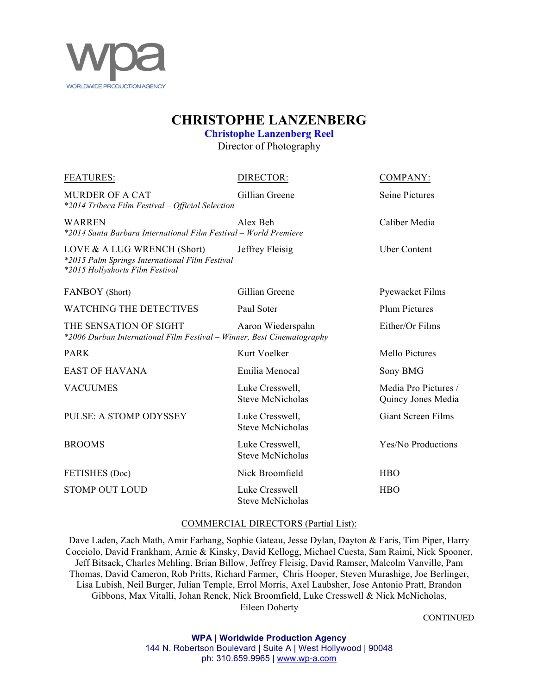

## **CHRISTOPHE LANZENBERG**

**[Christophe Lanzenberg Reel](http://christophelanzenberg.com/)**

Director of Photography

## FEATURES: DIRECTOR: COMPANY:

MURDER OF A CAT Gillian Greene Seine Pictures *\*2014 Tribeca Film Festival – Official Selection*

WARREN Alex Beh Caliber Media *\*2014 Santa Barbara International Film Festival – World Premiere*

LOVE & A LUG WRENCH (Short) Jeffrey Fleisig Uber Content *\*2015 Palm Springs International Film Festival \*2015 Hollyshorts Film Festival*

FANBOY (Short) Gillian Greene Pyewacket Films

WATCHING THE DETECTIVES Paul Soter Plum Pictures

THE SENSATION OF SIGHT Aaron Wiederspahn Either/Or Films *\*2006 Durban International Film Festival – Winner, Best Cinematography*

PARK Mello Pictures **Example 2018** Kurt Voelker Mello Pictures **Mello** Pictures

EAST OF HAVANA Emilia Menocal Sony BMG

Steve McNicholas

Steve McNicholas

FETISHES (Doc) Nick Broomfield HBO

STOMP OUT LOUD Luke Cresswell HBO Steve McNicholas

VACUUMES Luke Cresswell. Media Pro Pictures / Steve McNicholas Quincy Jones Media

PULSE: A STOMP ODYSSEY Luke Cresswell. Giant Screen Films

BROOMS Luke Cresswell. Yes/No Productions

## COMMERCIAL DIRECTORS (Partial List):

Dave Laden, Zach Math, Amir Farhang, Sophie Gateau, Jesse Dylan, Dayton & Faris, Tim Piper, Harry Cocciolo, David Frankham, Arnie & Kinsky, David Kellogg, Michael Cuesta, Sam Raimi, Nick Spooner, Jeff Bitsack, Charles Mehling, Brian Billow, Jeffrey Fleisig, David Ramser, Malcolm Vanville, Pam Thomas, David Cameron, Rob Pritts, Richard Farmer, Chris Hooper, Steven Murashige, Joe Berlinger, Lisa Lubish, Neil Burger, Julian Temple, Errol Morris, Axel Laubsher, Jose Antonio Pratt, Brandon Gibbons, Max Vitalli, Johan Renck, Nick Broomfield, Luke Cresswell & Nick McNicholas, Eileen Doherty

CONTINUED

**WPA | Worldwide Production Agency** 144 N. Robertson Boulevard | Suite A | West Hollywood | 90048 ph: 310.659.9965 | www.wp-a.com